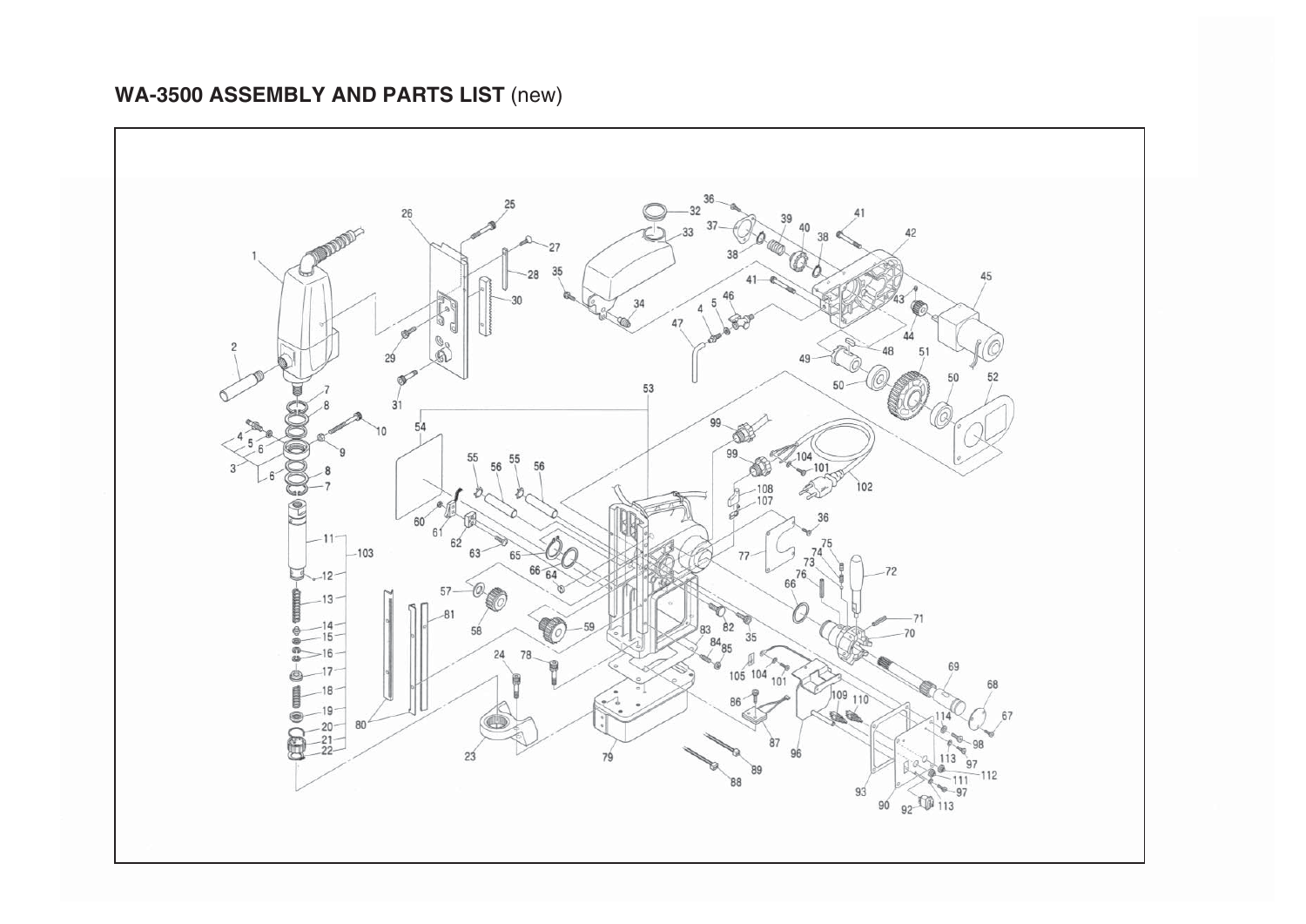## WA-3500 ASSEMBLY AND PARTS LIST (new)

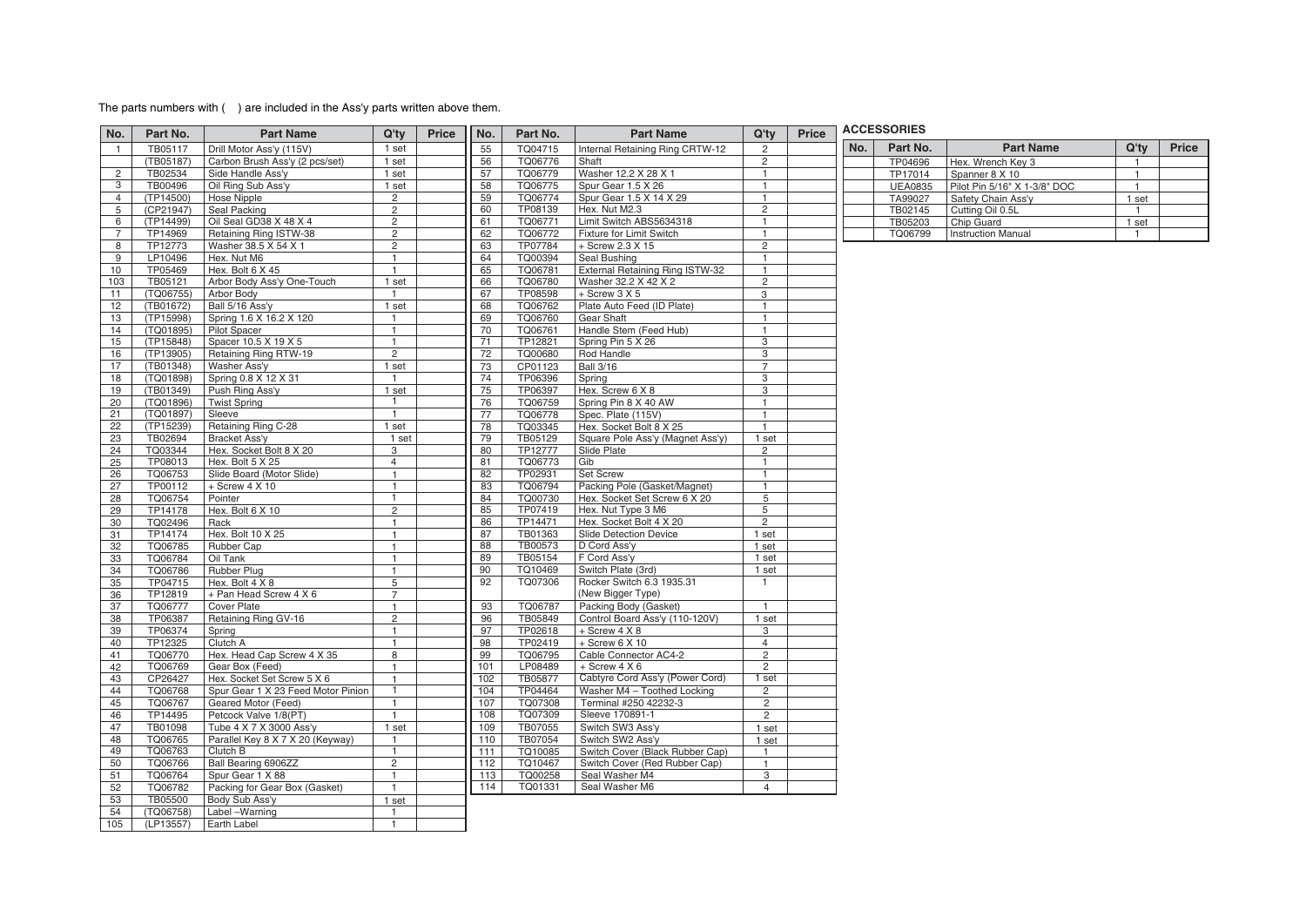## The parts numbers with () are included in the Ass'y parts written above them.

| No.            | Part No.           | <b>Part Name</b>                   | Q'ty                           | <b>Price</b> | No.      | Part No.           | <b>Part Name</b>                                             | Q'tv                    | <b>Price</b> |     | <b>ACCESSORIES</b> |                              |                |       |
|----------------|--------------------|------------------------------------|--------------------------------|--------------|----------|--------------------|--------------------------------------------------------------|-------------------------|--------------|-----|--------------------|------------------------------|----------------|-------|
| $\mathbf{1}$   | TB05117            | Drill Motor Ass'y (115V)           | 1 set                          |              | 55       | TQ04715            | Internal Retaining Ring CRTW-12                              | $\overline{c}$          |              | No. | Part No.           | <b>Part Name</b>             | $Q'$ ty        | Price |
|                | (TB05187)          | Carbon Brush Ass'y (2 pcs/set)     | 1 set                          |              | 56       | TQ06776            | Shaft                                                        | $\overline{2}$          |              |     | TP04696            | Hex. Wrench Key 3            | $\mathbf{1}$   |       |
| $\overline{2}$ | TB02534            | Side Handle Ass'y                  | 1 set                          |              | 57       | TQ06779            | Washer 12.2 X 28 X 1                                         | $\mathbf{1}$            |              |     | TP17014            | Spanner 8 X 10               | $\mathbf{1}$   |       |
| 3              | TB00496            | Oil Ring Sub Ass'y                 | 1 set                          |              | 58       | TQ06775            | Spur Gear 1.5 X 26                                           |                         |              |     | <b>UEA0835</b>     | Pilot Pin 5/16" X 1-3/8" DOC | $\mathbf{1}$   |       |
| $\overline{4}$ | (TP14500)          | <b>Hose Nipple</b>                 | $\overline{2}$                 |              | 59       | TQ06774            | Spur Gear 1.5 X 14 X 29                                      |                         |              |     | TA99027            | Safety Chain Ass'v           | 1 set          |       |
| 5              | (CP21947)          | Seal Packing                       | $\overline{2}$                 |              | 60       | TP08139            | Hex. Nut M2.3                                                | $\overline{c}$          |              |     | TB02145            | Cutting Oil 0.5L             | $\mathbf{1}$   |       |
| 6              | (TP14499)          | Oil Seal GD38 X 48 X 4             | $\overline{c}$                 |              | 61       | TQ06771            | Limit Switch ABS5634318                                      | $\overline{1}$          |              |     | TB05203            | Chip Guard                   | 1 set          |       |
| $\overline{7}$ | TP14969            | Retaining Ring ISTW-38             | $\overline{c}$                 |              | 62       | TQ06772            | Fixture for Limit Switch                                     |                         |              |     | TQ06799            | <b>Instruction Manual</b>    | $\overline{1}$ |       |
| 8              | TP12773            | Washer 38.5 X 54 X 1               | $\overline{c}$                 |              | 63       | TP07784            | + Screw 2.3 X 15                                             | $\overline{c}$          |              |     |                    |                              |                |       |
| 9              | LP10496            | Hex. Nut M6                        | $\mathbf{1}$                   |              | 64       | TQ00394            | Seal Bushing                                                 | $\mathbf{1}$            |              |     |                    |                              |                |       |
| 10             | TP05469            | Hex. Bolt 6 X 45                   | $\mathbf{1}$                   |              | 65       | TQ06781            | External Retaining Ring ISTW-32                              | $\overline{1}$          |              |     |                    |                              |                |       |
| 103            | TB05121            | Arbor Body Ass'y One-Touch         | 1 set                          |              | 66       | TQ06780            | Washer 32.2 X 42 X 2                                         | $\overline{2}$          |              |     |                    |                              |                |       |
| 11             | (TQ06755)          | Arbor Body                         | $\overline{1}$                 |              | 67       | TP08598            | $+$ Screw 3 X 5                                              | 3                       |              |     |                    |                              |                |       |
| 12             | (TB01672)          | Ball 5/16 Ass'y                    | 1 set                          |              | 68       | TQ06762            | Plate Auto Feed (ID Plate)                                   | $\mathbf{1}$            |              |     |                    |                              |                |       |
| 13             | (TP15998)          | Spring 1.6 X 16.2 X 120            | $\mathbf{1}$                   |              | 69       | TQ06760            | Gear Shaft                                                   |                         |              |     |                    |                              |                |       |
| 14             | (TQ01895)          | <b>Pilot Spacer</b>                | $\mathbf{1}$                   |              | 70       | TQ06761            | Handle Stem (Feed Hub)                                       | $\mathbf{1}$            |              |     |                    |                              |                |       |
| 15             | (TP15848)          | Spacer 10.5 X 19 X 5               | $\overline{1}$                 |              | 71       | TP12821            | Spring Pin 5 X 26                                            | 3                       |              |     |                    |                              |                |       |
| 16             | (TP13905)          | Retaining Ring RTW-19              | $\overline{2}$                 |              | 72       | TQ00680            | Rod Handle                                                   | 3                       |              |     |                    |                              |                |       |
| 17             | (TB01348)          | Washer Ass'y                       | 1 set                          |              | 73       | CP01123            | <b>Ball 3/16</b>                                             | $\overline{7}$          |              |     |                    |                              |                |       |
| 18             | (TQ01898)          | Spring 0.8 X 12 X 31               | $\mathbf{1}$                   |              | 74       | TP06396            | Spring                                                       | 3                       |              |     |                    |                              |                |       |
| 19             | (TB01349)          |                                    | 1 set                          |              | 75       | TP06397            | Hex. Screw 6 X 8                                             | 3                       |              |     |                    |                              |                |       |
|                |                    | Push Ring Ass'y                    | $\mathbf{1}$                   |              |          |                    |                                                              | $\mathbf{1}$            |              |     |                    |                              |                |       |
| 20             | (TQ01896)          | <b>Twist Spring</b>                |                                |              | 76       | TQ06759            | Spring Pin 8 X 40 AW                                         |                         |              |     |                    |                              |                |       |
| 21             | (TQ01897)          | Sleeve                             | $\mathbf{1}$                   |              | 77       | TQ06778            | Spec. Plate (115V)                                           | $\mathbf{1}$            |              |     |                    |                              |                |       |
| 22             | (TP15239)          | Retaining Ring C-28                | 1 set                          |              | 78       | TQ03345            | Hex. Socket Bolt 8 X 25                                      |                         |              |     |                    |                              |                |       |
| 23             | TB02694            | Bracket Ass'y                      | 1 set                          |              | 79<br>80 | TB05129            | Square Pole Ass'y (Magnet Ass'y)                             | 1 set<br>$\overline{2}$ |              |     |                    |                              |                |       |
| 24             | TQ03344            | Hex. Socket Bolt 8 X 20            | 3                              |              | 81       | TP12777            | Slide Plate                                                  | $\mathbf{1}$            |              |     |                    |                              |                |       |
| 25             | TP08013            | Hex. Bolt 5 X 25                   | $\overline{4}$<br>$\mathbf{1}$ |              |          | TQ06773            | Gib                                                          |                         |              |     |                    |                              |                |       |
| 26             | TQ06753            | Slide Board (Motor Slide)          |                                |              | 82<br>83 | TP02931            | Set Screw                                                    |                         |              |     |                    |                              |                |       |
| 27             | TP00112<br>TQ06754 | $+$ Screw 4 X 10                   | $\mathbf{1}$<br>$\mathbf{1}$   |              | 84       | TQ06794            | Packing Pole (Gasket/Magnet)<br>Hex. Socket Set Screw 6 X 20 | $\mathbf{1}$<br>5       |              |     |                    |                              |                |       |
| 28             |                    | Pointer                            |                                |              |          | TQ00730            |                                                              |                         |              |     |                    |                              |                |       |
| 29             | TP14178            | Hex. Bolt 6 X 10                   | $\overline{2}$<br>$\mathbf{1}$ |              | 85<br>86 | TP07419<br>TP14471 | Hex. Nut Type 3 M6<br>Hex. Socket Bolt 4 X 20                | 5<br>$\overline{2}$     |              |     |                    |                              |                |       |
| 30             | TQ02496            | Rack                               |                                |              | 87       | TB01363            | Slide Detection Device                                       | 1 set                   |              |     |                    |                              |                |       |
| 31             | TP14174            | Hex. Bolt 10 X 25                  | $\mathbf{1}$                   |              | 88       | TB00573            |                                                              |                         |              |     |                    |                              |                |       |
| 32             | TQ06785            | Rubber Cap                         | $\mathbf{1}$                   |              |          |                    | D Cord Ass'y                                                 | 1 set                   |              |     |                    |                              |                |       |
| 33             | TQ06784            | Oil Tank                           | $\mathbf{1}$                   |              | 89<br>90 | TB05154            | F Cord Ass'y                                                 | 1 set                   |              |     |                    |                              |                |       |
| 34             | TQ06786            | Rubber Plug                        | 1                              |              |          | TQ10469            | Switch Plate (3rd)                                           | 1 set<br>$\overline{1}$ |              |     |                    |                              |                |       |
| 35             | TP04715            | Hex. Bolt 4 X 8                    | 5                              |              | 92       | TQ07306            | Rocker Switch 6.3 1935.31                                    |                         |              |     |                    |                              |                |       |
| 36             | TP12819            | + Pan Head Screw 4 X 6             | $\overline{7}$                 |              |          |                    | (New Bigger Type)                                            |                         |              |     |                    |                              |                |       |
| 37             | TQ06777            | Cover Plate                        | $\mathbf{1}$                   |              | 93       | TQ06787            | Packing Body (Gasket)                                        | $\overline{1}$          |              |     |                    |                              |                |       |
| 38             | TP06387            | Retaining Ring GV-16               | $\overline{2}$                 |              | 96       | TB05849            | Control Board Ass'y (110-120V)                               | 1 set                   |              |     |                    |                              |                |       |
| 39             | TP06374            | Spring                             | $\mathbf{1}$                   |              | 97       | TP02618            | + Screw 4 X 8                                                | 3                       |              |     |                    |                              |                |       |
| 40             | TP12325            | Clutch A                           | $\mathbf{1}$                   |              | 98       | TP02419            | $+$ Screw 6 X 10                                             | $\overline{4}$          |              |     |                    |                              |                |       |
| 41             | TQ06770            | Hex. Head Cap Screw 4 X 35         | 8                              |              | 99       | TQ06795            | Cable Connector AC4-2                                        | $\overline{2}$          |              |     |                    |                              |                |       |
| 42             | TQ06769            | Gear Box (Feed)                    | $\mathbf{1}$                   |              | 101      | LP08489            | $+$ Screw 4 X 6                                              | $\overline{2}$          |              |     |                    |                              |                |       |
| 43             | CP26427            | Hex. Socket Set Screw 5 X 6        | $\mathbf{1}$                   |              | 102      | TB05877            | Cabtyre Cord Ass'y (Power Cord)                              | 1 set                   |              |     |                    |                              |                |       |
| 44             | TQ06768            | Spur Gear 1 X 23 Feed Motor Pinion | $\mathbf{1}$                   |              | 104      | TP04464            | Washer M4 - Toothed Locking                                  | $\overline{2}$          |              |     |                    |                              |                |       |
| 45             | TQ06767            | Geared Motor (Feed)                | $\mathbf{1}$                   |              | 107      | TQ07308            | Terminal #250 42232-3                                        | $\overline{2}$          |              |     |                    |                              |                |       |
| 46             | TP14495            | Petcock Valve 1/8(PT)              | $\mathbf{1}$                   |              | 108      | TQ07309            | Sleeve 170891-1                                              | $\overline{2}$          |              |     |                    |                              |                |       |
| 47             | TB01098            | Tube 4 X 7 X 3000 Ass'y            | 1 set                          |              | 109      | TB07055            | Switch SW3 Ass'y                                             | 1 set                   |              |     |                    |                              |                |       |
| 48             | TQ06765            | Parallel Key 8 X 7 X 20 (Keyway)   |                                |              | 110      | TB07054            | Switch SW2 Ass'y                                             | 1 set                   |              |     |                    |                              |                |       |
| 49             | TQ06763            | Clutch B                           | $\mathbf{1}$                   |              | 111      | TQ10085            | Switch Cover (Black Rubber Cap)                              | $\mathbf{1}$            |              |     |                    |                              |                |       |
| 50             | TQ06766            | Ball Bearing 6906ZZ                | $\overline{2}$                 |              | 112      | TQ10467            | Switch Cover (Red Rubber Cap)                                | $\mathbf{1}$            |              |     |                    |                              |                |       |
| 51             | TQ06764            | Spur Gear 1 X 88                   | $\mathbf{1}$                   |              | 113      | TQ00258            | Seal Washer M4                                               | 3                       |              |     |                    |                              |                |       |
| 52             | TQ06782            | Packing for Gear Box (Gasket)      | $\mathbf{1}$                   |              | 114      | TQ01331            | Seal Washer M6                                               | $\overline{4}$          |              |     |                    |                              |                |       |
| 53             | TB05500            | Body Sub Ass'y                     | 1 set                          |              |          |                    |                                                              |                         |              |     |                    |                              |                |       |
| 54             | (TQ06758)          | Label-Warning                      | $\overline{1}$                 |              |          |                    |                                                              |                         |              |     |                    |                              |                |       |
| 105            | (LP13557)          | Earth Label                        | $\overline{1}$                 |              |          |                    |                                                              |                         |              |     |                    |                              |                |       |